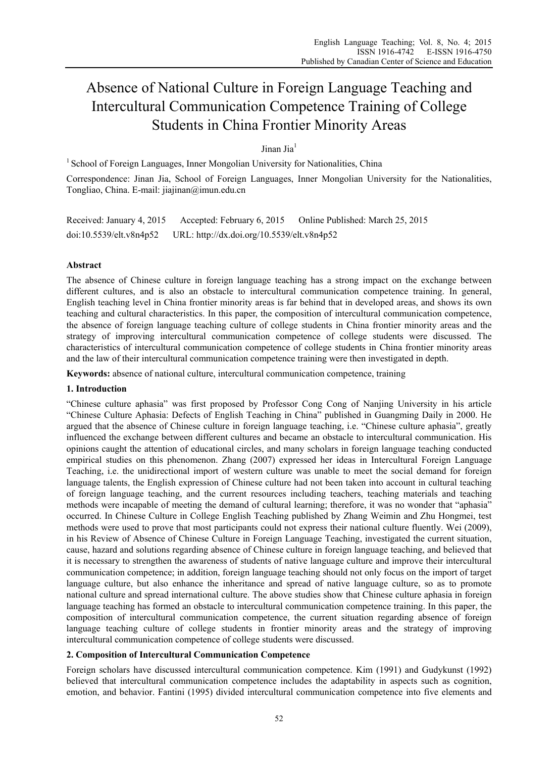# Absence of National Culture in Foreign Language Teaching and Intercultural Communication Competence Training of College Students in China Frontier Minority Areas

# Iinan Iia<sup>1</sup>

<sup>1</sup> School of Foreign Languages, Inner Mongolian University for Nationalities, China

Correspondence: Jinan Jia, School of Foreign Languages, Inner Mongolian University for the Nationalities, Tongliao, China. E-mail: jiajinan@imun.edu.cn

Received: January 4, 2015 Accepted: February 6, 2015 Online Published: March 25, 2015 doi:10.5539/elt.v8n4p52 URL: http://dx.doi.org/10.5539/elt.v8n4p52

# **Abstract**

The absence of Chinese culture in foreign language teaching has a strong impact on the exchange between different cultures, and is also an obstacle to intercultural communication competence training. In general, English teaching level in China frontier minority areas is far behind that in developed areas, and shows its own teaching and cultural characteristics. In this paper, the composition of intercultural communication competence, the absence of foreign language teaching culture of college students in China frontier minority areas and the strategy of improving intercultural communication competence of college students were discussed. The characteristics of intercultural communication competence of college students in China frontier minority areas and the law of their intercultural communication competence training were then investigated in depth.

**Keywords:** absence of national culture, intercultural communication competence, training

# **1. Introduction**

"Chinese culture aphasia" was first proposed by Professor Cong Cong of Nanjing University in his article "Chinese Culture Aphasia: Defects of English Teaching in China" published in Guangming Daily in 2000. He argued that the absence of Chinese culture in foreign language teaching, i.e. "Chinese culture aphasia", greatly influenced the exchange between different cultures and became an obstacle to intercultural communication. His opinions caught the attention of educational circles, and many scholars in foreign language teaching conducted empirical studies on this phenomenon. Zhang (2007) expressed her ideas in Intercultural Foreign Language Teaching, i.e. the unidirectional import of western culture was unable to meet the social demand for foreign language talents, the English expression of Chinese culture had not been taken into account in cultural teaching of foreign language teaching, and the current resources including teachers, teaching materials and teaching methods were incapable of meeting the demand of cultural learning; therefore, it was no wonder that "aphasia" occurred. In Chinese Culture in College English Teaching published by Zhang Weimin and Zhu Hongmei, test methods were used to prove that most participants could not express their national culture fluently. Wei (2009), in his Review of Absence of Chinese Culture in Foreign Language Teaching, investigated the current situation, cause, hazard and solutions regarding absence of Chinese culture in foreign language teaching, and believed that it is necessary to strengthen the awareness of students of native language culture and improve their intercultural communication competence; in addition, foreign language teaching should not only focus on the import of target language culture, but also enhance the inheritance and spread of native language culture, so as to promote national culture and spread international culture. The above studies show that Chinese culture aphasia in foreign language teaching has formed an obstacle to intercultural communication competence training. In this paper, the composition of intercultural communication competence, the current situation regarding absence of foreign language teaching culture of college students in frontier minority areas and the strategy of improving intercultural communication competence of college students were discussed.

# **2. Composition of Intercultural Communication Competence**

Foreign scholars have discussed intercultural communication competence. Kim (1991) and Gudykunst (1992) believed that intercultural communication competence includes the adaptability in aspects such as cognition, emotion, and behavior. Fantini (1995) divided intercultural communication competence into five elements and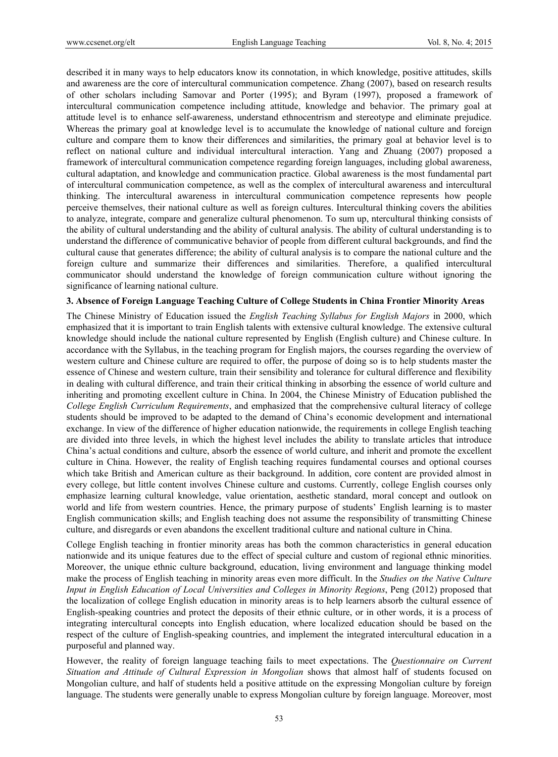described it in many ways to help educators know its connotation, in which knowledge, positive attitudes, skills and awareness are the core of intercultural communication competence. Zhang (2007), based on research results of other scholars including Samovar and Porter (1995); and Byram (1997), proposed a framework of intercultural communication competence including attitude, knowledge and behavior. The primary goal at attitude level is to enhance self-awareness, understand ethnocentrism and stereotype and eliminate prejudice. Whereas the primary goal at knowledge level is to accumulate the knowledge of national culture and foreign culture and compare them to know their differences and similarities, the primary goal at behavior level is to reflect on national culture and individual intercultural interaction. Yang and Zhuang (2007) proposed a framework of intercultural communication competence regarding foreign languages, including global awareness, cultural adaptation, and knowledge and communication practice. Global awareness is the most fundamental part of intercultural communication competence, as well as the complex of intercultural awareness and intercultural thinking. The intercultural awareness in intercultural communication competence represents how people perceive themselves, their national culture as well as foreign cultures. Intercultural thinking covers the abilities to analyze, integrate, compare and generalize cultural phenomenon. To sum up, ntercultural thinking consists of the ability of cultural understanding and the ability of cultural analysis. The ability of cultural understanding is to understand the difference of communicative behavior of people from different cultural backgrounds, and find the cultural cause that generates difference; the ability of cultural analysis is to compare the national culture and the foreign culture and summarize their differences and similarities. Therefore, a qualified intercultural communicator should understand the knowledge of foreign communication culture without ignoring the significance of learning national culture.

#### **3. Absence of Foreign Language Teaching Culture of College Students in China Frontier Minority Areas**

The Chinese Ministry of Education issued the *English Teaching Syllabus for English Majors* in 2000, which emphasized that it is important to train English talents with extensive cultural knowledge. The extensive cultural knowledge should include the national culture represented by English (English culture) and Chinese culture. In accordance with the Syllabus, in the teaching program for English majors, the courses regarding the overview of western culture and Chinese culture are required to offer, the purpose of doing so is to help students master the essence of Chinese and western culture, train their sensibility and tolerance for cultural difference and flexibility in dealing with cultural difference, and train their critical thinking in absorbing the essence of world culture and inheriting and promoting excellent culture in China. In 2004, the Chinese Ministry of Education published the *College English Curriculum Requirements*, and emphasized that the comprehensive cultural literacy of college students should be improved to be adapted to the demand of China's economic development and international exchange. In view of the difference of higher education nationwide, the requirements in college English teaching are divided into three levels, in which the highest level includes the ability to translate articles that introduce China's actual conditions and culture, absorb the essence of world culture, and inherit and promote the excellent culture in China. However, the reality of English teaching requires fundamental courses and optional courses which take British and American culture as their background. In addition, core content are provided almost in every college, but little content involves Chinese culture and customs. Currently, college English courses only emphasize learning cultural knowledge, value orientation, aesthetic standard, moral concept and outlook on world and life from western countries. Hence, the primary purpose of students' English learning is to master English communication skills; and English teaching does not assume the responsibility of transmitting Chinese culture, and disregards or even abandons the excellent traditional culture and national culture in China.

College English teaching in frontier minority areas has both the common characteristics in general education nationwide and its unique features due to the effect of special culture and custom of regional ethnic minorities. Moreover, the unique ethnic culture background, education, living environment and language thinking model make the process of English teaching in minority areas even more difficult. In the *Studies on the Native Culture Input in English Education of Local Universities and Colleges in Minority Regions*, Peng (2012) proposed that the localization of college English education in minority areas is to help learners absorb the cultural essence of English-speaking countries and protect the deposits of their ethnic culture, or in other words, it is a process of integrating intercultural concepts into English education, where localized education should be based on the respect of the culture of English-speaking countries, and implement the integrated intercultural education in a purposeful and planned way.

However, the reality of foreign language teaching fails to meet expectations. The *Questionnaire on Current Situation and Attitude of Cultural Expression in Mongolian* shows that almost half of students focused on Mongolian culture, and half of students held a positive attitude on the expressing Mongolian culture by foreign language. The students were generally unable to express Mongolian culture by foreign language. Moreover, most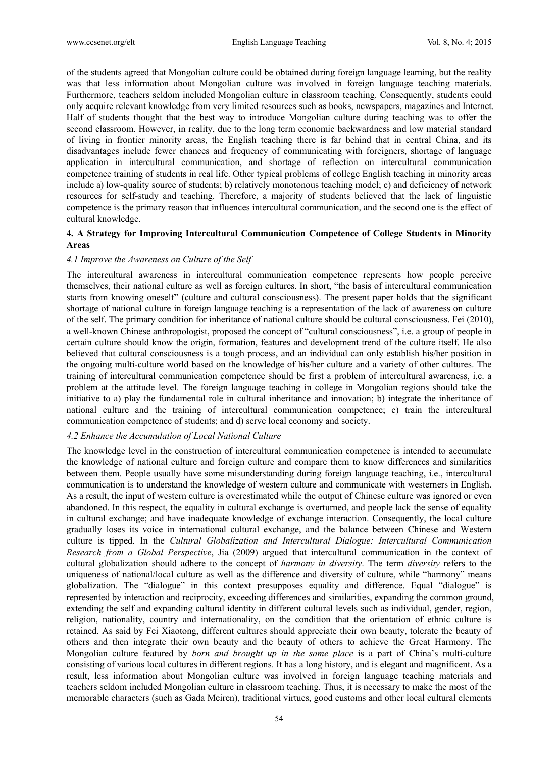of the students agreed that Mongolian culture could be obtained during foreign language learning, but the reality was that less information about Mongolian culture was involved in foreign language teaching materials. Furthermore, teachers seldom included Mongolian culture in classroom teaching. Consequently, students could only acquire relevant knowledge from very limited resources such as books, newspapers, magazines and Internet. Half of students thought that the best way to introduce Mongolian culture during teaching was to offer the second classroom. However, in reality, due to the long term economic backwardness and low material standard of living in frontier minority areas, the English teaching there is far behind that in central China, and its disadvantages include fewer chances and frequency of communicating with foreigners, shortage of language application in intercultural communication, and shortage of reflection on intercultural communication competence training of students in real life. Other typical problems of college English teaching in minority areas include a) low-quality source of students; b) relatively monotonous teaching model; c) and deficiency of network resources for self-study and teaching. Therefore, a majority of students believed that the lack of linguistic competence is the primary reason that influences intercultural communication, and the second one is the effect of cultural knowledge.

### **4. A Strategy for Improving Intercultural Communication Competence of College Students in Minority Areas**

#### *4.1 Improve the Awareness on Culture of the Self*

The intercultural awareness in intercultural communication competence represents how people perceive themselves, their national culture as well as foreign cultures. In short, "the basis of intercultural communication starts from knowing oneself" (culture and cultural consciousness). The present paper holds that the significant shortage of national culture in foreign language teaching is a representation of the lack of awareness on culture of the self. The primary condition for inheritance of national culture should be cultural consciousness. Fei (2010), a well-known Chinese anthropologist, proposed the concept of "cultural consciousness", i.e. a group of people in certain culture should know the origin, formation, features and development trend of the culture itself. He also believed that cultural consciousness is a tough process, and an individual can only establish his/her position in the ongoing multi-culture world based on the knowledge of his/her culture and a variety of other cultures. The training of intercultural communication competence should be first a problem of intercultural awareness, i.e. a problem at the attitude level. The foreign language teaching in college in Mongolian regions should take the initiative to a) play the fundamental role in cultural inheritance and innovation; b) integrate the inheritance of national culture and the training of intercultural communication competence; c) train the intercultural communication competence of students; and d) serve local economy and society.

#### *4.2 Enhance the Accumulation of Local National Culture*

The knowledge level in the construction of intercultural communication competence is intended to accumulate the knowledge of national culture and foreign culture and compare them to know differences and similarities between them. People usually have some misunderstanding during foreign language teaching, i.e., intercultural communication is to understand the knowledge of western culture and communicate with westerners in English. As a result, the input of western culture is overestimated while the output of Chinese culture was ignored or even abandoned. In this respect, the equality in cultural exchange is overturned, and people lack the sense of equality in cultural exchange; and have inadequate knowledge of exchange interaction. Consequently, the local culture gradually loses its voice in international cultural exchange, and the balance between Chinese and Western culture is tipped. In the *Cultural Globalization and Intercultural Dialogue: Intercultural Communication Research from a Global Perspective*, Jia (2009) argued that intercultural communication in the context of cultural globalization should adhere to the concept of *harmony in diversity*. The term *diversity* refers to the uniqueness of national/local culture as well as the difference and diversity of culture, while "harmony" means globalization. The "dialogue" in this context presupposes equality and difference. Equal "dialogue" is represented by interaction and reciprocity, exceeding differences and similarities, expanding the common ground, extending the self and expanding cultural identity in different cultural levels such as individual, gender, region, religion, nationality, country and internationality, on the condition that the orientation of ethnic culture is retained. As said by Fei Xiaotong, different cultures should appreciate their own beauty, tolerate the beauty of others and then integrate their own beauty and the beauty of others to achieve the Great Harmony. The Mongolian culture featured by *born and brought up in the same place* is a part of China's multi-culture consisting of various local cultures in different regions. It has a long history, and is elegant and magnificent. As a result, less information about Mongolian culture was involved in foreign language teaching materials and teachers seldom included Mongolian culture in classroom teaching. Thus, it is necessary to make the most of the memorable characters (such as Gada Meiren), traditional virtues, good customs and other local cultural elements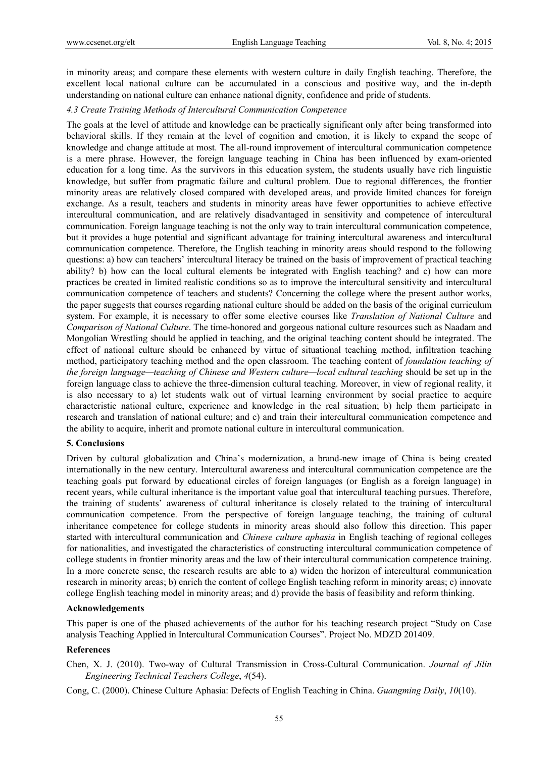in minority areas; and compare these elements with western culture in daily English teaching. Therefore, the excellent local national culture can be accumulated in a conscious and positive way, and the in-depth understanding on national culture can enhance national dignity, confidence and pride of students.

#### *4.3 Create Training Methods of Intercultural Communication Competence*

The goals at the level of attitude and knowledge can be practically significant only after being transformed into behavioral skills. If they remain at the level of cognition and emotion, it is likely to expand the scope of knowledge and change attitude at most. The all-round improvement of intercultural communication competence is a mere phrase. However, the foreign language teaching in China has been influenced by exam-oriented education for a long time. As the survivors in this education system, the students usually have rich linguistic knowledge, but suffer from pragmatic failure and cultural problem. Due to regional differences, the frontier minority areas are relatively closed compared with developed areas, and provide limited chances for foreign exchange. As a result, teachers and students in minority areas have fewer opportunities to achieve effective intercultural communication, and are relatively disadvantaged in sensitivity and competence of intercultural communication. Foreign language teaching is not the only way to train intercultural communication competence, but it provides a huge potential and significant advantage for training intercultural awareness and intercultural communication competence. Therefore, the English teaching in minority areas should respond to the following questions: a) how can teachers' intercultural literacy be trained on the basis of improvement of practical teaching ability? b) how can the local cultural elements be integrated with English teaching? and c) how can more practices be created in limited realistic conditions so as to improve the intercultural sensitivity and intercultural communication competence of teachers and students? Concerning the college where the present author works, the paper suggests that courses regarding national culture should be added on the basis of the original curriculum system. For example, it is necessary to offer some elective courses like *Translation of National Culture* and *Comparison of National Culture*. The time-honored and gorgeous national culture resources such as Naadam and Mongolian Wrestling should be applied in teaching, and the original teaching content should be integrated. The effect of national culture should be enhanced by virtue of situational teaching method, infiltration teaching method, participatory teaching method and the open classroom. The teaching content of *foundation teaching of the foreign language—teaching of Chinese and Western culture—local cultural teaching* should be set up in the foreign language class to achieve the three-dimension cultural teaching. Moreover, in view of regional reality, it is also necessary to a) let students walk out of virtual learning environment by social practice to acquire characteristic national culture, experience and knowledge in the real situation; b) help them participate in research and translation of national culture; and c) and train their intercultural communication competence and the ability to acquire, inherit and promote national culture in intercultural communication.

#### **5. Conclusions**

Driven by cultural globalization and China's modernization, a brand-new image of China is being created internationally in the new century. Intercultural awareness and intercultural communication competence are the teaching goals put forward by educational circles of foreign languages (or English as a foreign language) in recent years, while cultural inheritance is the important value goal that intercultural teaching pursues. Therefore, the training of students' awareness of cultural inheritance is closely related to the training of intercultural communication competence. From the perspective of foreign language teaching, the training of cultural inheritance competence for college students in minority areas should also follow this direction. This paper started with intercultural communication and *Chinese culture aphasia* in English teaching of regional colleges for nationalities, and investigated the characteristics of constructing intercultural communication competence of college students in frontier minority areas and the law of their intercultural communication competence training. In a more concrete sense, the research results are able to a) widen the horizon of intercultural communication research in minority areas; b) enrich the content of college English teaching reform in minority areas; c) innovate college English teaching model in minority areas; and d) provide the basis of feasibility and reform thinking.

#### **Acknowledgements**

This paper is one of the phased achievements of the author for his teaching research project "Study on Case analysis Teaching Applied in Intercultural Communication Courses". Project No. MDZD 201409.

# **References**

Chen, X. J. (2010). Two-way of Cultural Transmission in Cross-Cultural Communication. *Journal of Jilin Engineering Technical Teachers College*, *4*(54).

Cong, C. (2000). Chinese Culture Aphasia: Defects of English Teaching in China. *Guangming Daily*, *10*(10).